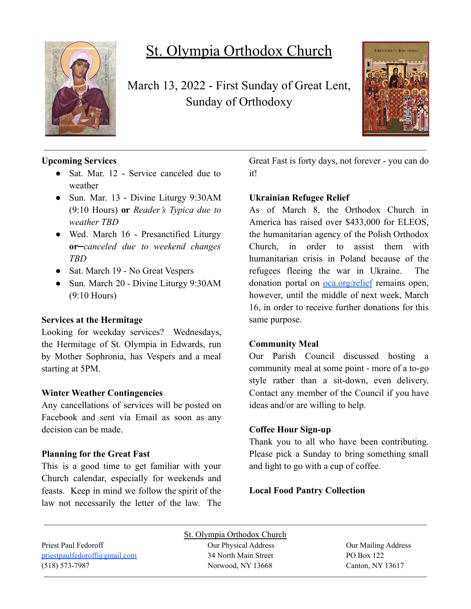

# St. Olympia Orthodox Church

March 13, 2022 - First Sunday of Great Lent, Sunday of Orthodoxy



## **Upcoming Services**

- Sat. Mar. 12 Service canceled due to weather
- Sun. Mar. 13 Divine Liturgy 9:30AM (9:10 Hours) **or** *Reader's Typica due to weather TBD*
- Wed. March 16 Presanctified Liturgy **or** *canceled due to weekend changes TBD*
- Sat. March 19 No Great Vespers
- Sun. March 20 Divine Liturgy 9:30AM (9:10 Hours)

### **Services at the Hermitage**

Looking for weekday services? Wednesdays, the Hermitage of St. Olympia in Edwards, run by Mother Sophronia, has Vespers and a meal starting at 5PM.

### **Winter Weather Contingencies**

Any cancellations of services will be posted on Facebook and sent via Email as soon as any decision can be made.

#### **Planning for the Great Fast**

This is a good time to get familiar with your Church calendar, especially for weekends and feasts. Keep in mind we follow the spirit of the law not necessarily the letter of the law. The Great Fast is forty days, not forever - you can do it!

### **Ukrainian Refugee Relief**

As of March 8, the Orthodox Church in America has raised over \$433,000 for ELEOS, the humanitarian agency of the Polish Orthodox Church, in order to assist them with humanitarian crisis in Poland because of the refugees fleeing the war in Ukraine. The donation portal on [oca.org/relief](https://www.oca.org/donate?c=Ukrainian%20Refugee%20Relief) remains open, however, until the middle of next week, March 16, in order to receive further donations for this same purpose.

### **Community Meal**

Our Parish Council discussed hosting a community meal at some point - more of a to-go style rather than a sit-down, even delivery. Contact any member of the Council if you have ideas and/or are willing to help.

### **Coffee Hour Sign-up**

Thank you to all who have been contributing. Please pick a Sunday to bring something small and light to go with a cup of coffee.

### **Local Food Pantry Collection**

|                              | St. Olympia Orthodox Church |                     |
|------------------------------|-----------------------------|---------------------|
| Priest Paul Fedoroff         | Our Physical Address        | Our Mailing Address |
| priestpaulfedoroff@gmail.com | 34 North Main Street        | PO Box 122          |
| $(518) 573 - 7987$           | Norwood, NY 13668           | Canton, NY 13617    |